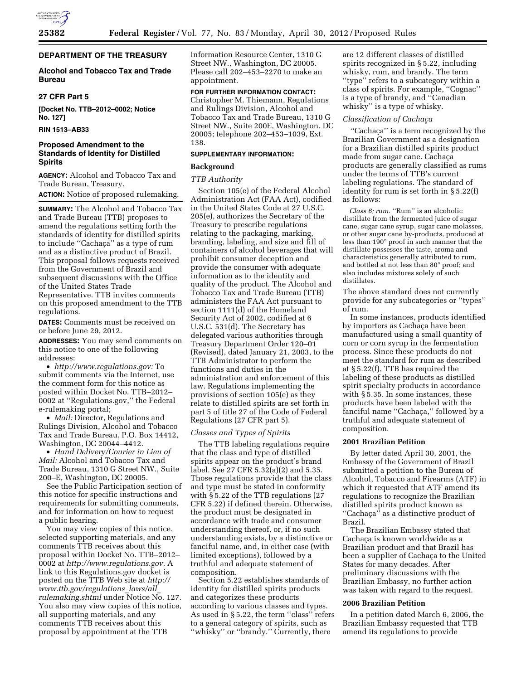# **DEPARTMENT OF THE TREASURY**

## **Alcohol and Tobacco Tax and Trade Bureau**

## **27 CFR Part 5**

**[Docket No. TTB–2012–0002; Notice No. 127]** 

**RIN 1513–AB33** 

# **Proposed Amendment to the Standards of Identity for Distilled Spirits**

**AGENCY:** Alcohol and Tobacco Tax and Trade Bureau, Treasury.

**ACTION:** Notice of proposed rulemaking.

**SUMMARY:** The Alcohol and Tobacco Tax and Trade Bureau (TTB) proposes to amend the regulations setting forth the standards of identity for distilled spirits to include "Cachaça" as a type of rum and as a distinctive product of Brazil. This proposal follows requests received from the Government of Brazil and subsequent discussions with the Office of the United States Trade Representative. TTB invites comments on this proposed amendment to the TTB regulations.

**DATES:** Comments must be received on or before June 29, 2012.

**ADDRESSES:** You may send comments on this notice to one of the following addresses:

• *[http://www.regulations.gov:](http://www.regulations.gov)* To submit comments via the Internet, use the comment form for this notice as posted within Docket No. TTB–2012– 0002 at ''Regulations.gov,'' the Federal e-rulemaking portal;

• *Mail:* Director, Regulations and Rulings Division, Alcohol and Tobacco Tax and Trade Bureau, P.O. Box 14412, Washington, DC 20044–4412.

• *Hand Delivery/Courier in Lieu of Mail:* Alcohol and Tobacco Tax and Trade Bureau, 1310 G Street NW., Suite 200–E, Washington, DC 20005.

See the Public Participation section of this notice for specific instructions and requirements for submitting comments, and for information on how to request a public hearing.

You may view copies of this notice, selected supporting materials, and any comments TTB receives about this proposal within Docket No. TTB–2012– 0002 at *[http://www.regulations.gov.](http://www.regulations.gov)* A link to this Regulations.gov docket is posted on the TTB Web site at *[http://](http://www.ttb.gov/regulations_laws/all_rulemaking.shtml) [www.ttb.gov/regulations](http://www.ttb.gov/regulations_laws/all_rulemaking.shtml)*\_*laws/all*\_ *[rulemaking.shtml](http://www.ttb.gov/regulations_laws/all_rulemaking.shtml)* under Notice No. 127. You also may view copies of this notice, all supporting materials, and any comments TTB receives about this proposal by appointment at the TTB

Information Resource Center, 1310 G Street NW., Washington, DC 20005. Please call 202–453–2270 to make an appointment.

## **FOR FURTHER INFORMATION CONTACT:**

Christopher M. Thiemann, Regulations and Rulings Division, Alcohol and Tobacco Tax and Trade Bureau, 1310 G Street NW., Suite 200E, Washington, DC 20005; telephone 202–453–1039, Ext. 138.

## **SUPPLEMENTARY INFORMATION:**

## **Background**

## *TTB Authority*

Section 105(e) of the Federal Alcohol Administration Act (FAA Act), codified in the United States Code at 27 U.S.C. 205(e), authorizes the Secretary of the Treasury to prescribe regulations relating to the packaging, marking, branding, labeling, and size and fill of containers of alcohol beverages that will prohibit consumer deception and provide the consumer with adequate information as to the identity and quality of the product. The Alcohol and Tobacco Tax and Trade Bureau (TTB) administers the FAA Act pursuant to section 1111(d) of the Homeland Security Act of 2002, codified at 6 U.S.C. 531(d). The Secretary has delegated various authorities through Treasury Department Order 120–01 (Revised), dated January 21, 2003, to the TTB Administrator to perform the functions and duties in the administration and enforcement of this law. Regulations implementing the provisions of section 105(e) as they relate to distilled spirits are set forth in part 5 of title 27 of the Code of Federal Regulations (27 CFR part 5).

## *Classes and Types of Spirits*

The TTB labeling regulations require that the class and type of distilled spirits appear on the product's brand label. See 27 CFR 5.32(a)(2) and 5.35. Those regulations provide that the class and type must be stated in conformity with § 5.22 of the TTB regulations (27) CFR 5.22) if defined therein. Otherwise, the product must be designated in accordance with trade and consumer understanding thereof, or, if no such understanding exists, by a distinctive or fanciful name, and, in either case (with limited exceptions), followed by a truthful and adequate statement of composition.

Section 5.22 establishes standards of identity for distilled spirits products and categorizes these products according to various classes and types. As used in § 5.22, the term ''class'' refers to a general category of spirits, such as ''whisky'' or ''brandy.'' Currently, there

are 12 different classes of distilled spirits recognized in § 5.22, including whisky, rum, and brandy. The term ''type'' refers to a subcategory within a class of spirits. For example, ''Cognac'' is a type of brandy, and ''Canadian whisky'' is a type of whisky.

## *Classification of Cachac¸a*

"Cachaça" is a term recognized by the Brazilian Government as a designation for a Brazilian distilled spirits product made from sugar cane. Cachaça products are generally classified as rums under the terms of TTB's current labeling regulations. The standard of identity for rum is set forth in § 5.22(f) as follows:

*Class 6; rum.* "Rum" is an alcoholic distillate from the fermented juice of sugar cane, sugar cane syrup, sugar cane molasses, or other sugar cane by-products, produced at less than 190° proof in such manner that the distillate possesses the taste, aroma and characteristics generally attributed to rum, and bottled at not less than 80° proof; and also includes mixtures solely of such distillates.

The above standard does not currently provide for any subcategories or ''types'' of rum.

In some instances, products identified by importers as Cachaça have been manufactured using a small quantity of corn or corn syrup in the fermentation process. Since these products do not meet the standard for rum as described at § 5.22(f), TTB has required the labeling of these products as distilled spirit specialty products in accordance with § 5.35. In some instances, these products have been labeled with the fanciful name "Cachaça," followed by a truthful and adequate statement of composition.

## **2001 Brazilian Petition**

By letter dated April 30, 2001, the Embassy of the Government of Brazil submitted a petition to the Bureau of Alcohol, Tobacco and Firearms (ATF) in which it requested that ATF amend its regulations to recognize the Brazilian distilled spirits product known as "Cachaça" as a distinctive product of Brazil.

The Brazilian Embassy stated that Cachaça is known worldwide as a Brazilian product and that Brazil has been a supplier of Cachaça to the United States for many decades. After preliminary discussions with the Brazilian Embassy, no further action was taken with regard to the request.

## **2006 Brazilian Petition**

In a petition dated March 6, 2006, the Brazilian Embassy requested that TTB amend its regulations to provide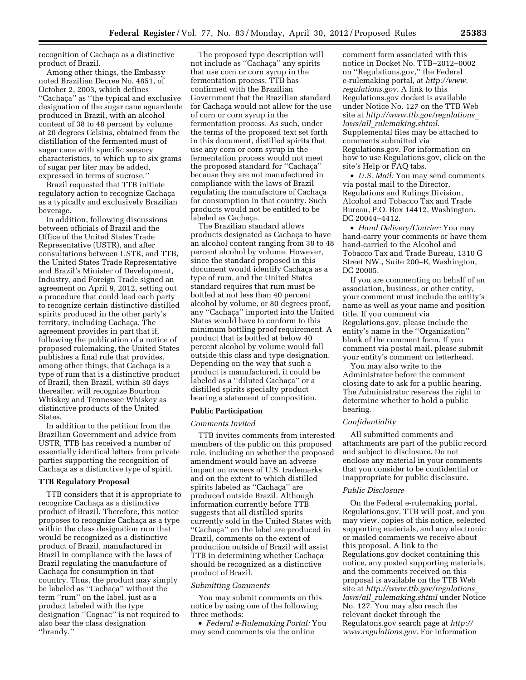recognition of Cachaca as a distinctive product of Brazil.

Among other things, the Embassy noted Brazilian Decree No. 4851, of October 2, 2003, which defines "Cachaça" as "the typical and exclusive designation of the sugar cane aguardente produced in Brazil, with an alcohol content of 38 to 48 percent by volume at 20 degrees Celsius, obtained from the distillation of the fermented must of sugar cane with specific sensory characteristics, to which up to six grams of sugar per liter may be added, expressed in terms of sucrose.''

Brazil requested that TTB initiate regulatory action to recognize Cachaça as a typically and exclusively Brazilian beverage.

In addition, following discussions between officials of Brazil and the Office of the United States Trade Representative (USTR), and after consultations between USTR, and TTB, the United States Trade Representative and Brazil's Minister of Development, Industry, and Foreign Trade signed an agreement on April 9, 2012, setting out a procedure that could lead each party to recognize certain distinctive distilled spirits produced in the other party's territory, including Cachaça. The agreement provides in part that if, following the publication of a notice of proposed rulemaking, the United States publishes a final rule that provides, among other things, that Cachaça is a type of rum that is a distinctive product of Brazil, then Brazil, within 30 days thereafter, will recognize Bourbon Whiskey and Tennessee Whiskey as distinctive products of the United States.

In addition to the petition from the Brazilian Government and advice from USTR, TTB has received a number of essentially identical letters from private parties supporting the recognition of Cachaça as a distinctive type of spirit.

#### **TTB Regulatory Proposal**

TTB considers that it is appropriate to recognize Cachaca as a distinctive product of Brazil. Therefore, this notice proposes to recognize Cachaça as a type within the class designation rum that would be recognized as a distinctive product of Brazil, manufactured in Brazil in compliance with the laws of Brazil regulating the manufacture of Cachaça for consumption in that country. Thus, the product may simply be labeled as "Cachaça" without the term ''rum'' on the label, just as a product labeled with the type designation ''Cognac'' is not required to also bear the class designation ''brandy.''

The proposed type description will not include as "Cachaça" any spirits that use corn or corn syrup in the fermentation process. TTB has confirmed with the Brazilian Government that the Brazilian standard for Cachaca would not allow for the use of corn or corn syrup in the fermentation process. As such, under the terms of the proposed text set forth in this document, distilled spirits that use any corn or corn syrup in the fermentation process would not meet the proposed standard for "Cachaça" because they are not manufactured in compliance with the laws of Brazil regulating the manufacture of Cachaça for consumption in that country. Such products would not be entitled to be labeled as Cachaça.

The Brazilian standard allows products designated as Cachaça to have an alcohol content ranging from 38 to 48 percent alcohol by volume. However, since the standard proposed in this document would identify Cachaça as a type of rum, and the United States standard requires that rum must be bottled at not less than 40 percent alcohol by volume, or 80 degrees proof, any "Cachaça" imported into the United States would have to conform to this minimum bottling proof requirement. A product that is bottled at below 40 percent alcohol by volume would fall outside this class and type designation. Depending on the way that such a product is manufactured, it could be labeled as a "diluted Cachaça" or a distilled spirits specialty product bearing a statement of composition.

## **Public Participation**

#### *Comments Invited*

TTB invites comments from interested members of the public on this proposed rule, including on whether the proposed amendment would have an adverse impact on owners of U.S. trademarks and on the extent to which distilled spirits labeled as "Cachaça" are produced outside Brazil. Although information currently before TTB suggests that all distilled spirits currently sold in the United States with "Cachaça" on the label are produced in Brazil, comments on the extent of production outside of Brazil will assist TTB in determining whether Cachaça should be recognized as a distinctive product of Brazil.

#### *Submitting Comments*

You may submit comments on this notice by using one of the following three methods:

• *Federal e-Rulemaking Portal:* You may send comments via the online

comment form associated with this notice in Docket No. TTB–2012–0002 on ''Regulations.gov,'' the Federal e-rulemaking portal, at *[http://www.](http://www.regulations.gov) [regulations.gov.](http://www.regulations.gov)* A link to this Regulations.gov docket is available under Notice No. 127 on the TTB Web site at *[http://www.ttb.gov/regulations](http://www.ttb.gov/regulations_laws/all_rulemaking.shtml)*\_ *laws/all*\_*[rulemaking.shtml.](http://www.ttb.gov/regulations_laws/all_rulemaking.shtml)*  Supplemental files may be attached to comments submitted via Regulations.gov. For information on how to use Regulations.gov, click on the site's Help or FAQ tabs.

• *U.S. Mail:* You may send comments via postal mail to the Director, Regulations and Rulings Division, Alcohol and Tobacco Tax and Trade Bureau, P.O. Box 14412, Washington, DC 20044–4412.

• *Hand Delivery/Courier:* You may hand-carry your comments or have them hand-carried to the Alcohol and Tobacco Tax and Trade Bureau, 1310 G Street NW., Suite 200–E, Washington, DC 20005.

If you are commenting on behalf of an association, business, or other entity, your comment must include the entity's name as well as your name and position title. If you comment via Regulations.gov, please include the entity's name in the ''Organization'' blank of the comment form. If you comment via postal mail, please submit your entity's comment on letterhead.

You may also write to the Administrator before the comment closing date to ask for a public hearing. The Administrator reserves the right to determine whether to hold a public hearing.

#### *Confidentiality*

All submitted comments and attachments are part of the public record and subject to disclosure. Do not enclose any material in your comments that you consider to be confidential or inappropriate for public disclosure.

#### *Public Disclosure*

On the Federal e-rulemaking portal, Regulations.gov, TTB will post, and you may view, copies of this notice, selected supporting materials, and any electronic or mailed comments we receive about this proposal. A link to the Regulations.gov docket containing this notice, any posted supporting materials, and the comments received on this proposal is available on the TTB Web site at *[http://www.ttb.gov/regulations](http://www.ttb.gov/regulations_laws/all_rulemaking.shtml)*\_ *laws/all*\_*[rulemaking.shtml](http://www.ttb.gov/regulations_laws/all_rulemaking.shtml)* under Notice No. 127. You may also reach the relevant docket through the Regulatons.gov search page at *[http://](http://www.regulations.gov) [www.regulations.gov.](http://www.regulations.gov)* For information